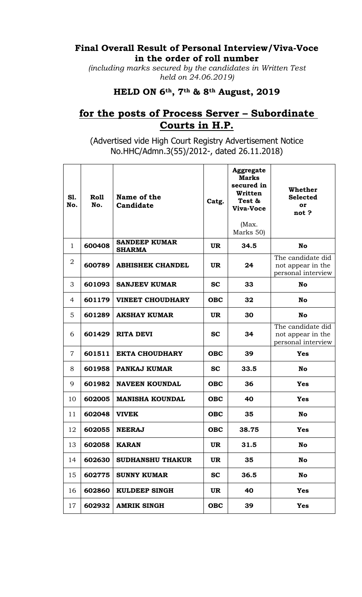## **Final Overall Result of Personal Interview/Viva-Voce in the order of roll number**

*(including marks secured by the candidates in Written Test held on 24.06.2019)*

## **HELD ON 6th, 7th & 8th August, 2019**

## **for the posts of Process Server – Subordinate Courts in H.P.**

(Advertised vide High Court Registry Advertisement Notice No.HHC/Admn.3(55)/2012-, dated 26.11.2018)

| <b>S1.</b><br>No. | Roll<br>No. | Name of the<br>Candidate              | Catg.      | <b>Aggregate</b><br><b>Marks</b><br>secured in<br>Written<br>Test &<br>Viva-Voce<br>(Max.<br>Marks 50) | Whether<br><b>Selected</b><br>or<br>not?                     |
|-------------------|-------------|---------------------------------------|------------|--------------------------------------------------------------------------------------------------------|--------------------------------------------------------------|
| 1                 | 600408      | <b>SANDEEP KUMAR</b><br><b>SHARMA</b> | <b>UR</b>  | 34.5                                                                                                   | <b>No</b>                                                    |
| 2                 | 600789      | <b>ABHISHEK CHANDEL</b>               | <b>UR</b>  | 24                                                                                                     | The candidate did<br>not appear in the<br>personal interview |
| 3                 | 601093      | <b>SANJEEV KUMAR</b>                  | <b>SC</b>  | 33                                                                                                     | No                                                           |
| 4                 | 601179      | <b>VINEET CHOUDHARY</b>               | <b>OBC</b> | 32                                                                                                     | <b>No</b>                                                    |
| 5                 | 601289      | <b>AKSHAY KUMAR</b>                   | <b>UR</b>  | 30                                                                                                     | No                                                           |
| 6                 | 601429      | <b>RITA DEVI</b>                      | <b>SC</b>  | 34                                                                                                     | The candidate did<br>not appear in the<br>personal interview |
| $\overline{7}$    | 601511      | <b>EKTA CHOUDHARY</b>                 | <b>OBC</b> | 39                                                                                                     | <b>Yes</b>                                                   |
| 8                 | 601958      | PANKAJ KUMAR                          | <b>SC</b>  | 33.5                                                                                                   | <b>No</b>                                                    |
| 9                 | 601982      | <b>NAVEEN KOUNDAL</b>                 | <b>OBC</b> | 36                                                                                                     | <b>Yes</b>                                                   |
| 10                | 602005      | <b>MANISHA KOUNDAL</b>                | <b>OBC</b> | 40                                                                                                     | <b>Yes</b>                                                   |
| 11                | 602048      | <b>VIVEK</b>                          | <b>OBC</b> | 35                                                                                                     | No                                                           |
| 12                | 602055      | <b>NEERAJ</b>                         | <b>OBC</b> | 38.75                                                                                                  | <b>Yes</b>                                                   |
| 13                | 602058      | <b>KARAN</b>                          | <b>UR</b>  | 31.5                                                                                                   | <b>No</b>                                                    |
| 14                | 602630      | <b>SUDHANSHU THAKUR</b>               | <b>UR</b>  | 35                                                                                                     | <b>No</b>                                                    |
| 15                | 602775      | <b>SUNNY KUMAR</b>                    | <b>SC</b>  | 36.5                                                                                                   | No                                                           |
| 16                | 602860      | <b>KULDEEP SINGH</b>                  | <b>UR</b>  | 40                                                                                                     | <b>Yes</b>                                                   |
| 17                | 602932      | <b>AMRIK SINGH</b>                    | <b>OBC</b> | 39                                                                                                     | <b>Yes</b>                                                   |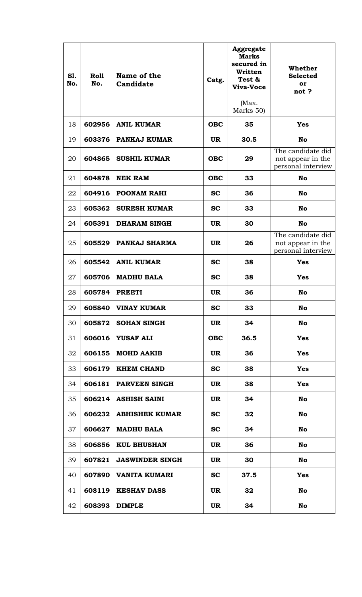| <b>S1.</b><br>No. | Roll<br>No. | Name of the<br>Candidate | Catg.      | <b>Aggregate</b><br><b>Marks</b><br>secured in<br>Written<br>Test &<br>Viva-Voce<br>(Max.<br>Marks 50) | Whether<br><b>Selected</b><br>or<br>not?                     |
|-------------------|-------------|--------------------------|------------|--------------------------------------------------------------------------------------------------------|--------------------------------------------------------------|
| 18                | 602956      | <b>ANIL KUMAR</b>        | <b>OBC</b> | 35                                                                                                     | <b>Yes</b>                                                   |
| 19                | 603376      | PANKAJ KUMAR             | <b>UR</b>  | 30.5                                                                                                   | No                                                           |
| 20                | 604865      | <b>SUSHIL KUMAR</b>      | <b>OBC</b> | 29                                                                                                     | The candidate did<br>not appear in the<br>personal interview |
| 21                | 604878      | <b>NEK RAM</b>           | <b>OBC</b> | 33                                                                                                     | No                                                           |
| 22                | 604916      | <b>POONAM RAHI</b>       | <b>SC</b>  | 36                                                                                                     | No                                                           |
| 23                | 605362      | <b>SURESH KUMAR</b>      | <b>SC</b>  | 33                                                                                                     | <b>No</b>                                                    |
| 24                | 605391      | <b>DHARAM SINGH</b>      | <b>UR</b>  | 30                                                                                                     | <b>No</b>                                                    |
| 25                | 605529      | PANKAJ SHARMA            | <b>UR</b>  | 26                                                                                                     | The candidate did<br>not appear in the<br>personal interview |
| 26                | 605542      | <b>ANIL KUMAR</b>        | <b>SC</b>  | 38                                                                                                     | <b>Yes</b>                                                   |
| 27                | 605706      | <b>MADHU BALA</b>        | <b>SC</b>  | 38                                                                                                     | <b>Yes</b>                                                   |
| 28                | 605784      | <b>PREETI</b>            | <b>UR</b>  | 36                                                                                                     | No                                                           |
| 29                | 605840      | <b>VINAY KUMAR</b>       | $\bf SC$   | 33                                                                                                     | No                                                           |
| 30                | 605872      | <b>SOHAN SINGH</b>       | <b>UR</b>  | 34                                                                                                     | No                                                           |
| 31                | 606016      | <b>YUSAF ALI</b>         | <b>OBC</b> | 36.5                                                                                                   | <b>Yes</b>                                                   |
| 32                | 606155      | <b>MOHD AAKIB</b>        | <b>UR</b>  | 36                                                                                                     | <b>Yes</b>                                                   |
| 33                | 606179      | <b>KHEM CHAND</b>        | <b>SC</b>  | 38                                                                                                     | <b>Yes</b>                                                   |
| 34                | 606181      | <b>PARVEEN SINGH</b>     | UR.        | 38                                                                                                     | <b>Yes</b>                                                   |
| 35                | 606214      | <b>ASHISH SAINI</b>      | <b>UR</b>  | 34                                                                                                     | No                                                           |
| 36                | 606232      | <b>ABHISHEK KUMAR</b>    | <b>SC</b>  | 32                                                                                                     | No                                                           |
| 37                | 606627      | <b>MADHU BALA</b>        | <b>SC</b>  | 34                                                                                                     | No                                                           |
| 38                | 606856      | <b>KUL BHUSHAN</b>       | <b>UR</b>  | 36                                                                                                     | No                                                           |
| 39                | 607821      | <b>JASWINDER SINGH</b>   | <b>UR</b>  | 30                                                                                                     | No                                                           |
| 40                | 607890      | VANITA KUMARI            | <b>SC</b>  | 37.5                                                                                                   | <b>Yes</b>                                                   |
| 41                | 608119      | <b>KESHAV DASS</b>       | <b>UR</b>  | 32                                                                                                     | No                                                           |
| 42                | 608393      | <b>DIMPLE</b>            | <b>UR</b>  | 34                                                                                                     | No                                                           |